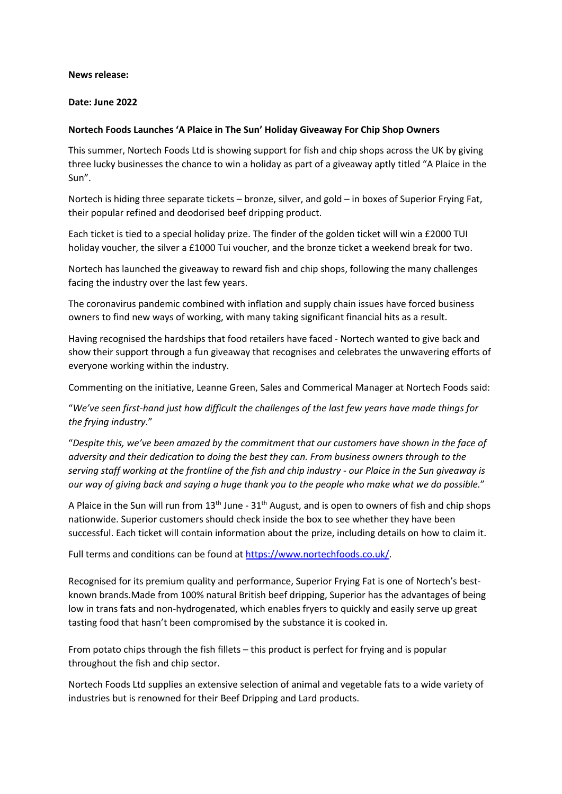## **News release:**

## **Date: June 2022**

## **Nortech Foods Launches 'A Plaice in The Sun' Holiday Giveaway For Chip Shop Owners**

This summer, Nortech Foods Ltd is showing support for fish and chip shops across the UK by giving three lucky businesses the chance to win a holiday as part of a giveaway aptly titled "A Plaice in the Sun".

Nortech is hiding three separate tickets – bronze, silver, and gold – in boxes of Superior Frying Fat, their popular refined and deodorised beef dripping product.

Each ticket is tied to a special holiday prize. The finder of the golden ticket will win a £2000 TUI holiday voucher, the silver a £1000 Tui voucher, and the bronze ticket a weekend break for two.

Nortech has launched the giveaway to reward fish and chip shops, following the many challenges facing the industry over the last few years.

The coronavirus pandemic combined with inflation and supply chain issues have forced business owners to find new ways of working, with many taking significant financial hits as a result.

Having recognised the hardships that food retailers have faced - Nortech wanted to give back and show their support through a fun giveaway that recognises and celebrates the unwavering efforts of everyone working within the industry.

Commenting on the initiative, Leanne Green, Sales and Commerical Manager at Nortech Foods said:

"*We've seen first-hand just how difficult the challenges of the last few years have made things for the frying industry*."

"*Despite this, we've been amazed by the commitment that our customers have shown in the face of adversity and their dedication to doing the best they can. From business owners through to the serving staff working at the frontline of the fish and chip industry - our Plaice in the Sun giveaway is our way of giving back and saying a huge thank you to the people who make what we do possible.*"

A Plaice in the Sun will run from  $13<sup>th</sup>$  June -  $31<sup>th</sup>$  August, and is open to owners of fish and chip shops nationwide. Superior customers should check inside the box to see whether they have been successful. Each ticket will contain information about the prize, including details on how to claim it.

Full terms and conditions can be found at https://www.nortechfoods.co.uk/.

Recognised for its premium quality and performance, Superior Frying Fat is one of Nortech's bestknown brands.Made from 100% natural British beef dripping, Superior has the advantages of being low in trans fats and non-hydrogenated, which enables fryers to quickly and easily serve up great tasting food that hasn't been compromised by the substance it is cooked in.

From potato chips through the fish fillets – this product is perfect for frying and is popular throughout the fish and chip sector.

Nortech Foods Ltd supplies an extensive selection of animal and vegetable fats to a wide variety of industries but is renowned for their Beef Dripping and Lard products.